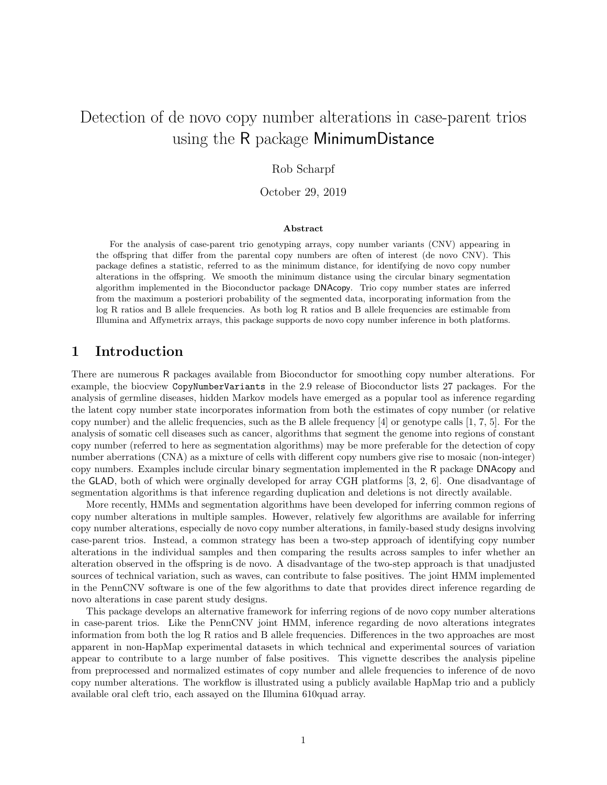# Detection of de novo copy number alterations in case-parent trios using the R package MinimumDistance

### Rob Scharpf

October 29, 2019

#### Abstract

For the analysis of case-parent trio genotyping arrays, copy number variants (CNV) appearing in the offspring that differ from the parental copy numbers are often of interest (de novo CNV). This package defines a statistic, referred to as the minimum distance, for identifying de novo copy number alterations in the offspring. We smooth the minimum distance using the circular binary segmentation algorithm implemented in the Bioconductor package DNAcopy. Trio copy number states are inferred from the maximum a posteriori probability of the segmented data, incorporating information from the log R ratios and B allele frequencies. As both log R ratios and B allele frequencies are estimable from Illumina and Affymetrix arrays, this package supports de novo copy number inference in both platforms.

# 1 Introduction

There are numerous R packages available from Bioconductor for smoothing copy number alterations. For example, the biocview CopyNumberVariants in the 2.9 release of Bioconductor lists 27 packages. For the analysis of germline diseases, hidden Markov models have emerged as a popular tool as inference regarding the latent copy number state incorporates information from both the estimates of copy number (or relative copy number) and the allelic frequencies, such as the B allele frequency  $[4]$  or genotype calls  $[1, 7, 5]$ . For the analysis of somatic cell diseases such as cancer, algorithms that segment the genome into regions of constant copy number (referred to here as segmentation algorithms) may be more preferable for the detection of copy number aberrations (CNA) as a mixture of cells with different copy numbers give rise to mosaic (non-integer) copy numbers. Examples include circular binary segmentation implemented in the R package DNAcopy and the GLAD, both of which were orginally developed for array CGH platforms [3, 2, 6]. One disadvantage of segmentation algorithms is that inference regarding duplication and deletions is not directly available.

More recently, HMMs and segmentation algorithms have been developed for inferring common regions of copy number alterations in multiple samples. However, relatively few algorithms are available for inferring copy number alterations, especially de novo copy number alterations, in family-based study designs involving case-parent trios. Instead, a common strategy has been a two-step approach of identifying copy number alterations in the individual samples and then comparing the results across samples to infer whether an alteration observed in the offspring is de novo. A disadvantage of the two-step approach is that unadjusted sources of technical variation, such as waves, can contribute to false positives. The joint HMM implemented in the PennCNV software is one of the few algorithms to date that provides direct inference regarding de novo alterations in case parent study designs.

This package develops an alternative framework for inferring regions of de novo copy number alterations in case-parent trios. Like the PennCNV joint HMM, inference regarding de novo alterations integrates information from both the log R ratios and B allele frequencies. Differences in the two approaches are most apparent in non-HapMap experimental datasets in which technical and experimental sources of variation appear to contribute to a large number of false positives. This vignette describes the analysis pipeline from preprocessed and normalized estimates of copy number and allele frequencies to inference of de novo copy number alterations. The workflow is illustrated using a publicly available HapMap trio and a publicly available oral cleft trio, each assayed on the Illumina 610quad array.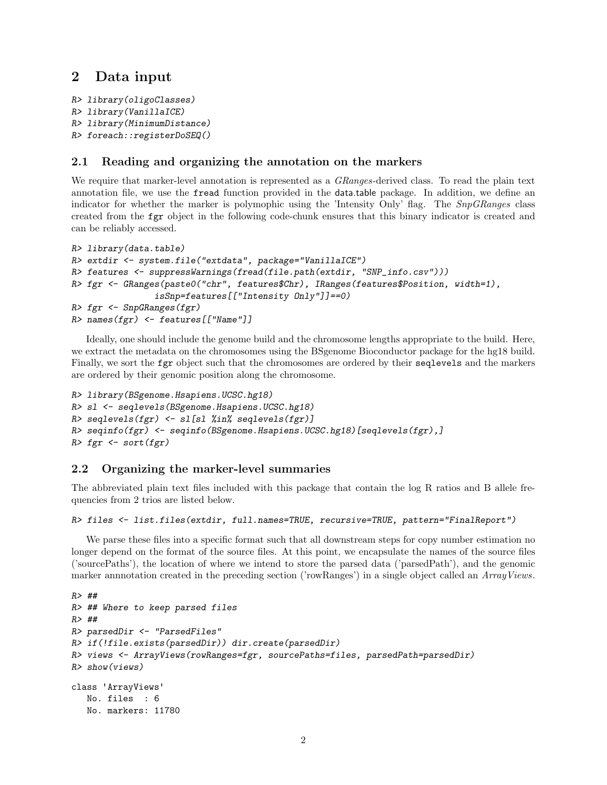# 2 Data input

```
R> library(oligoClasses)
R> library(VanillaICE)
R> library(MinimumDistance)
R> foreach::registerDoSEQ()
```
#### 2.1 Reading and organizing the annotation on the markers

We require that marker-level annotation is represented as a *GRanges*-derived class. To read the plain text annotation file, we use the fread function provided in the data.table package. In addition, we define an indicator for whether the marker is polymophic using the 'Intensity Only' flag. The SnpGRanges class created from the fgr object in the following code-chunk ensures that this binary indicator is created and can be reliably accessed.

```
R> library(data.table)
R> extdir <- system.file("extdata", package="VanillaICE")
R> features <- suppressWarnings(fread(file.path(extdir, "SNP_info.csv")))
R> fgr <- GRanges(paste0("chr", features$Chr), IRanges(features$Position, width=1),
                isSnp=features[["Intensity Only"]]==0)
R> fgr <- SnpGRanges(fgr)
R> names(fgr) <- features[["Name"]]
```
Ideally, one should include the genome build and the chromosome lengths appropriate to the build. Here, we extract the metadata on the chromosomes using the BSgenome Bioconductor package for the hg18 build. Finally, we sort the fgr object such that the chromosomes are ordered by their seqlevels and the markers are ordered by their genomic position along the chromosome.

```
R> library(BSgenome.Hsapiens.UCSC.hg18)
R> sl <- seqlevels(BSgenome.Hsapiens.UCSC.hg18)
R> seqlevels(fgr) <- sl[sl %in% seqlevels(fgr)]
R> seqinfo(fgr) <- seqinfo(BSgenome.Hsapiens.UCSC.hg18)[seqlevels(fgr),]
R> fgr <- sort(fgr)
```
### 2.2 Organizing the marker-level summaries

The abbreviated plain text files included with this package that contain the log R ratios and B allele frequencies from 2 trios are listed below.

```
R> files <- list.files(extdir, full.names=TRUE, recursive=TRUE, pattern="FinalReport")
```
We parse these files into a specific format such that all downstream steps for copy number estimation no longer depend on the format of the source files. At this point, we encapsulate the names of the source files ('sourcePaths'), the location of where we intend to store the parsed data ('parsedPath'), and the genomic marker annnotation created in the preceding section ('rowRanges') in a single object called an ArrayViews.

```
R> ##
R> ## Where to keep parsed files
R> ##
R> parsedDir <- "ParsedFiles"
R> if(!file.exists(parsedDir)) dir.create(parsedDir)
R> views <- ArrayViews(rowRanges=fgr, sourcePaths=files, parsedPath=parsedDir)
R> show(views)
class 'ArrayViews'
  No. files : 6
  No. markers: 11780
```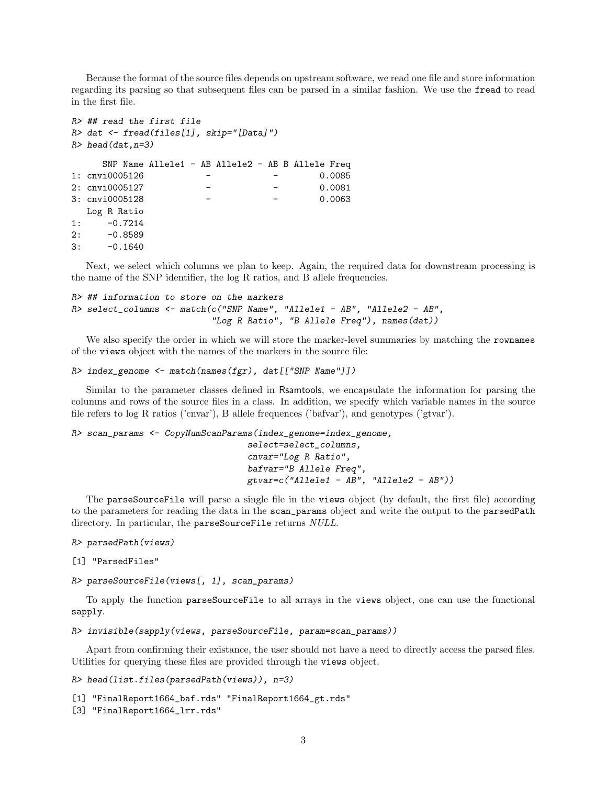Because the format of the source files depends on upstream software, we read one file and store information regarding its parsing so that subsequent files can be parsed in a similar fashion. We use the fread to read in the first file.

```
R> ## read the first file
R> dat <- fread(files[1], skip="[Data]")
R> head(dat, n=3)
    SNP Name Allele1 - AB Allele2 - AB B Allele Freq
1: cnvi0005126 - - 0.0085
2: cnvi0005127 - - 0.0081
3: cnvi0005128 - - 0.0063
  Log R Ratio
1: -0.72142: -0.85893: -0.1640
```
Next, we select which columns we plan to keep. Again, the required data for downstream processing is the name of the SNP identifier, the log R ratios, and B allele frequencies.

```
R> ## information to store on the markers
R> select_columns <- match(c("SNP Name", "Allele1 - AB", "Allele2 - AB",
                           "Log R Ratio", "B Allele Freq"), names(dat))
```
We also specify the order in which we will store the marker-level summaries by matching the rownames of the views object with the names of the markers in the source file:

```
R> index_genome <- match(names(fgr), dat[["SNP Name"]])
```
Similar to the parameter classes defined in Rsamtools, we encapsulate the information for parsing the columns and rows of the source files in a class. In addition, we specify which variable names in the source file refers to log R ratios ('cnvar'), B allele frequences ('bafvar'), and genotypes ('gtvar').

```
R> scan_params <- CopyNumScanParams(index_genome=index_genome,
```

```
select=select_columns,
cnvar="Log R Ratio",
bafvar="B Allele Freq",
gtvar=c("Allele1 - AB", "Allele2 - AB"))
```
The parseSourceFile will parse a single file in the views object (by default, the first file) according to the parameters for reading the data in the scan\_params object and write the output to the parsedPath directory. In particular, the parseSourceFile returns NULL.

R> parsedPath(views)

```
[1] "ParsedFiles"
```
R> parseSourceFile(views[, 1], scan\_params)

To apply the function parseSourceFile to all arrays in the views object, one can use the functional sapply.

R> invisible(sapply(views, parseSourceFile, param=scan\_params))

Apart from confirming their existance, the user should not have a need to directly access the parsed files. Utilities for querying these files are provided through the views object.

```
R> head(list.files(parsedPath(views)), n=3)
```

```
[1] "FinalReport1664_baf.rds" "FinalReport1664_gt.rds"
[3] "FinalReport1664_lrr.rds"
```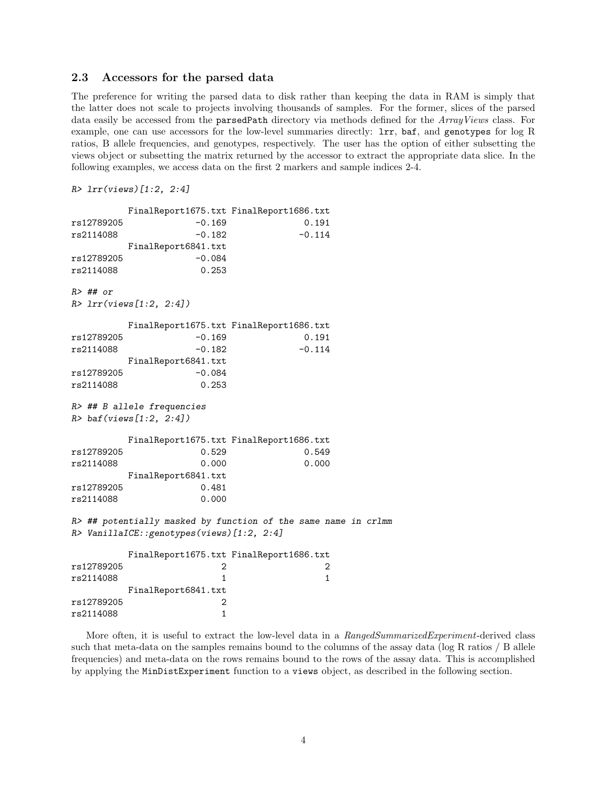#### 2.3 Accessors for the parsed data

The preference for writing the parsed data to disk rather than keeping the data in RAM is simply that the latter does not scale to projects involving thousands of samples. For the former, slices of the parsed data easily be accessed from the parsedPath directory via methods defined for the ArrayViews class. For example, one can use accessors for the low-level summaries directly: lrr, baf, and genotypes for log R ratios, B allele frequencies, and genotypes, respectively. The user has the option of either subsetting the views object or subsetting the matrix returned by the accessor to extract the appropriate data slice. In the following examples, we access data on the first 2 markers and sample indices 2-4.

```
R> lrr(views)[1:2, 2:4]
```

```
FinalReport1675.txt FinalReport1686.txt
rs12789205 -0.169 0.191
rs2114088 -0.182 -0.114
       FinalReport6841.txt
rs12789205 -0.084
rs2114088 0.253
R> ## or
R> lrr(views[1:2, 2:4])
       FinalReport1675.txt FinalReport1686.txt
rs12789205 -0.169 0.191
rs2114088 -0.182 -0.114
       FinalReport6841.txt
rs12789205 -0.084
rs2114088 0.253
R> ## B allele frequencies
R> baf(views[1:2, 2:4])
       FinalReport1675.txt FinalReport1686.txt
rs12789205 0.529 0.549
rs2114088 0.000 0.000
       FinalReport6841.txt
rs12789205 0.481
rs2114088 0.000
R> ## potentially masked by function of the same name in crlmm
R> VanillaICE::genotypes(views)[1:2, 2:4]
       FinalReport1675.txt FinalReport1686.txt
rs12789205 2 2
rs2114088 1 1
       FinalReport6841.txt
rs12789205 2
rs2114088 1
```
More often, it is useful to extract the low-level data in a RangedSummarizedExperiment-derived class such that meta-data on the samples remains bound to the columns of the assay data (log R ratios / B allele frequencies) and meta-data on the rows remains bound to the rows of the assay data. This is accomplished by applying the MinDistExperiment function to a views object, as described in the following section.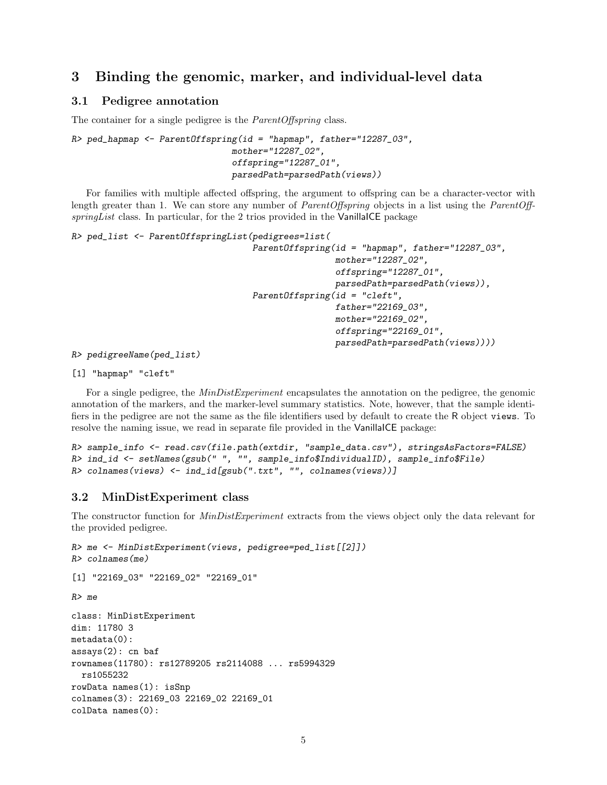# 3 Binding the genomic, marker, and individual-level data

#### 3.1 Pedigree annotation

The container for a single pedigree is the *ParentOffspring* class.

```
R> ped_hapmap <- ParentOffspring(id = "hapmap", father="12287_03",
                               mother="12287_02",
                               offspring="12287_01",
                               parsedPath=parsedPath(views))
```
For families with multiple affected offspring, the argument to offspring can be a character-vector with length greater than 1. We can store any number of *ParentOffspring* objects in a list using the *ParentOff* $springList$  class. In particular, for the 2 trios provided in the VanillaICE package

```
R> ped_list <- ParentOffspringList(pedigrees=list(
                                   ParentOffspring(id = "hapmap", father="12287_03",
                                                    mother="12287_02",
                                                    offspring="12287_01",
                                                    parsedPath=parsedPath(views)),
                                   ParentOffspring(id = "cleft",
                                                    father="22169_03",
                                                    mother="22169_02",
                                                    offspring="22169_01",
                                                    parsedPath=parsedPath(views))))
R> pedigreeName(ped_list)
```
[1] "hapmap" "cleft"

For a single pedigree, the  $MinDistExperiment$  encapsulates the annotation on the pedigree, the genomic annotation of the markers, and the marker-level summary statistics. Note, however, that the sample identifiers in the pedigree are not the same as the file identifiers used by default to create the R object views. To resolve the naming issue, we read in separate file provided in the VanillaICE package:

```
R> sample_info <- read.csv(file.path(extdir, "sample_data.csv"), stringsAsFactors=FALSE)
R> ind_id <- setNames(gsub(" ", "", sample_info$IndividualID), sample_info$File)
R> colnames(views) <- ind_id[gsub(".txt", "", colnames(views))]
```
#### 3.2 MinDistExperiment class

The constructor function for *MinDistExperiment* extracts from the views object only the data relevant for the provided pedigree.

```
R> me <- MinDistExperiment(views, pedigree=ped_list[[2]])
R> colnames(me)
[1] "22169_03" "22169_02" "22169_01"
R> me
class: MinDistExperiment
dim: 11780 3
metadata(0):
assays(2): cn baf
rownames(11780): rs12789205 rs2114088 ... rs5994329
  rs1055232
rowData names(1): isSnp
colnames(3): 22169_03 22169_02 22169_01
colData names(0):
```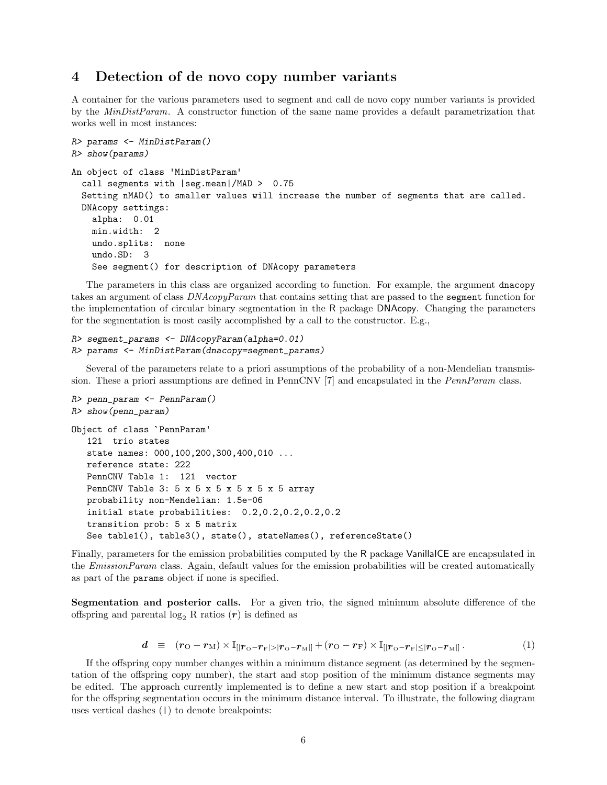# 4 Detection of de novo copy number variants

A container for the various parameters used to segment and call de novo copy number variants is provided by the *MinDistParam*. A constructor function of the same name provides a default parametrization that works well in most instances:

```
R> params <- MinDistParam()
R> show(params)
An object of class 'MinDistParam'
  call segments with |seg.mean|/MAD > 0.75
  Setting nMAD() to smaller values will increase the number of segments that are called.
  DNAcopy settings:
   alpha: 0.01
   min.width: 2
   undo.splits: none
   undo.SD: 3
   See segment() for description of DNAcopy parameters
```
The parameters in this class are organized according to function. For example, the argument dnacopy takes an argument of class DNAcopyParam that contains setting that are passed to the segment function for the implementation of circular binary segmentation in the R package DNAcopy. Changing the parameters for the segmentation is most easily accomplished by a call to the constructor. E.g.,

```
R> segment_params <- DNAcopyParam(alpha=0.01)
R> params <- MinDistParam(dnacopy=segment_params)
```
Several of the parameters relate to a priori assumptions of the probability of a non-Mendelian transmission. These a priori assumptions are defined in PennCNV [7] and encapsulated in the *PennParam* class.

```
R> penn_param <- PennParam()
R> show(penn_param)
Object of class `PennParam'
   121 trio states
   state names: 000,100,200,300,400,010 ...
  reference state: 222
  PennCNV Table 1: 121 vector
  PennCNV Table 3: 5 x 5 x 5 x 5 x 5 x 5 array
  probability non-Mendelian: 1.5e-06
   initial state probabilities: 0.2,0.2,0.2,0.2,0.2
   transition prob: 5 x 5 matrix
   See table1(), table3(), state(), stateNames(), referenceState()
```
Finally, parameters for the emission probabilities computed by the R package VanillaICE are encapsulated in the *EmissionParam* class. Again, default values for the emission probabilities will be created automatically as part of the params object if none is specified.

Segmentation and posterior calls. For a given trio, the signed minimum absolute difference of the offspring and parental  $log_2 R$  ratios  $(r)$  is defined as

$$
d = (r_{\rm O} - r_{\rm M}) \times \mathbb{I}_{\left[|r_{\rm O} - r_{\rm F}|> |r_{\rm O} - r_{\rm M}|\right]} + (r_{\rm O} - r_{\rm F}) \times \mathbb{I}_{\left[|r_{\rm O} - r_{\rm F}| \le |r_{\rm O} - r_{\rm M}|\right]}.
$$
 (1)

If the offspring copy number changes within a minimum distance segment (as determined by the segmentation of the offspring copy number), the start and stop position of the minimum distance segments may be edited. The approach currently implemented is to define a new start and stop position if a breakpoint for the offspring segmentation occurs in the minimum distance interval. To illustrate, the following diagram uses vertical dashes (|) to denote breakpoints: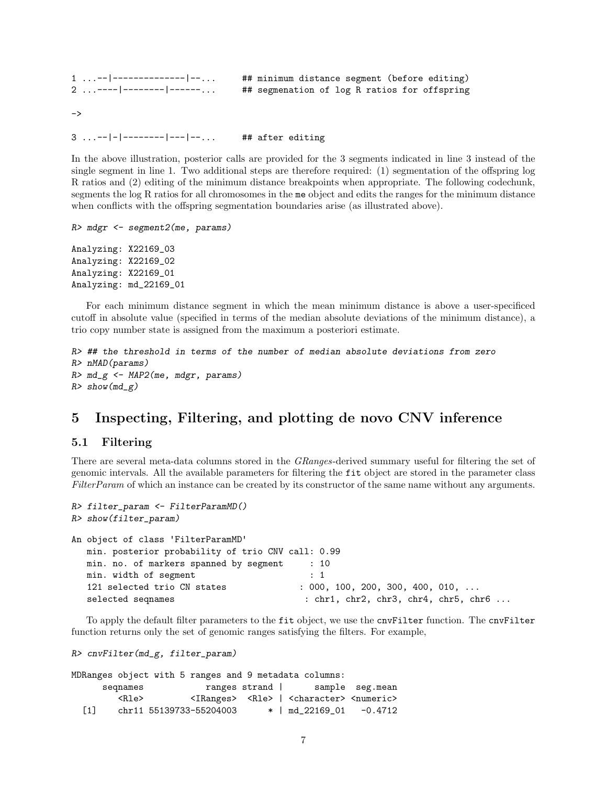1 ...--|--------------|--... ## minimum distance segment (before editing)<br>2 ...----|--------|------... ## segmenation of log R ratios for offspring ## segmenation of log R ratios for offspring  $\rightarrow$ 

3 ...--|-|--------|---|--... ## after editing

In the above illustration, posterior calls are provided for the 3 segments indicated in line 3 instead of the single segment in line 1. Two additional steps are therefore required: (1) segmentation of the offspring log R ratios and (2) editing of the minimum distance breakpoints when appropriate. The following codechunk, segments the log R ratios for all chromosomes in the me object and edits the ranges for the minimum distance when conflicts with the offspring segmentation boundaries arise (as illustrated above).

```
R> mdgr <- segment2(me, params)
```
Analyzing: X22169\_03 Analyzing: X22169\_02 Analyzing: X22169\_01 Analyzing: md\_22169\_01

For each minimum distance segment in which the mean minimum distance is above a user-specificed cutoff in absolute value (specified in terms of the median absolute deviations of the minimum distance), a trio copy number state is assigned from the maximum a posteriori estimate.

```
R> ## the threshold in terms of the number of median absolute deviations from zero
R> nMAD(params)
R > md_g < -MAP2(me, mdgr, params)R> show(md_g)
```
# 5 Inspecting, Filtering, and plotting de novo CNV inference

#### 5.1 Filtering

There are several meta-data columns stored in the GRanges-derived summary useful for filtering the set of genomic intervals. All the available parameters for filtering the fit object are stored in the parameter class FilterParam of which an instance can be created by its constructor of the same name without any arguments.

```
R> filter_param <- FilterParamMD()
R> show(filter_param)
An object of class 'FilterParamMD'
  min. posterior probability of trio CNV call: 0.99
  min. no. of markers spanned by segment : 10
  min. width of segment : 1
  121 selected trio CN states : 000, 100, 200, 300, 400, 010, ...
  selected seqnames : chr1, chr2, chr3, chr4, chr5, chr6 ...
```
To apply the default filter parameters to the fit object, we use the cnvFilter function. The cnvFilter function returns only the set of genomic ranges satisfying the filters. For example,

```
R> cnvFilter(md_g, filter_param)
```
MDRanges object with 5 ranges and 9 metadata columns: seqnames ranges strand | sample seg.mean <Rle> <IRanges> <Rle> | <character> <numeric> [1] chr11 55139733-55204003 \* | md\_22169\_01 -0.4712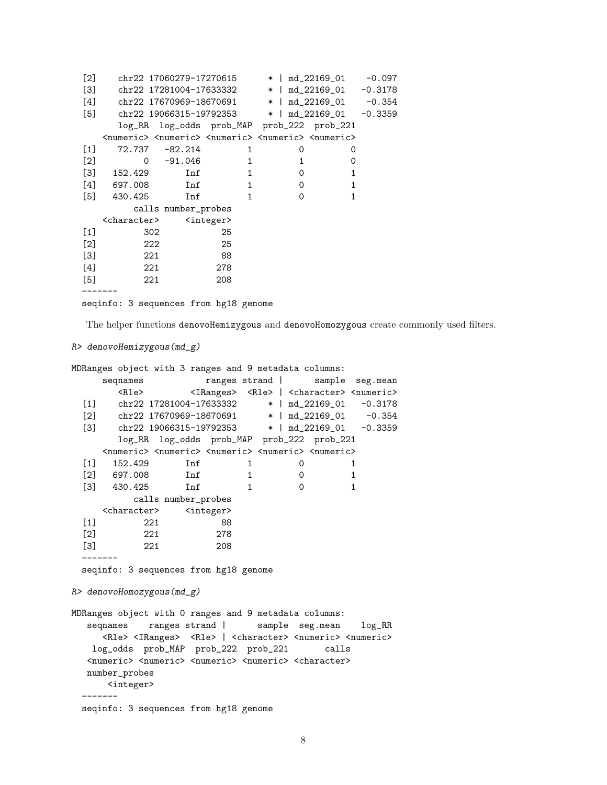| [2]               |                                             |                | chr22 17060279-17270615 |                                                                                                     | *   md_22169_01           | -0.097 |
|-------------------|---------------------------------------------|----------------|-------------------------|-----------------------------------------------------------------------------------------------------|---------------------------|--------|
| $\left[3\right]$  |                                             |                | chr22 17281004-17633332 |                                                                                                     | $*$   md_22169_01 -0.3178 |        |
| [4]               |                                             |                | chr22 17670969-18670691 |                                                                                                     | $*$   md_22169_01 -0.354  |        |
| $\left[5\right]$  |                                             |                |                         | chr22 19066315-19792353 $\star$   md_22169_01 -0.3359                                               |                           |        |
|                   |                                             |                |                         | log_RR log_odds prob_MAP prob_222 prob_221                                                          |                           |        |
|                   |                                             |                |                         | <numeric> <numeric> <numeric> <numeric> <numeric></numeric></numeric></numeric></numeric></numeric> |                           |        |
| [1]               |                                             | 72.737 -82.214 | 1                       | 0                                                                                                   | 0                         |        |
| $\lceil 2 \rceil$ | $\Omega$                                    | -91.046        | $\mathbf{1}$            | $\mathbf{1}$                                                                                        | 0                         |        |
|                   | $[3]$ 152.429                               | Inf            | $\mathbf{1}$            | $\Omega$                                                                                            | $\mathbf{1}$              |        |
|                   | $[4]$ 697.008                               | Inf            | $\mathbf{1}$            | $\Omega$                                                                                            | $\mathbf{1}$              |        |
|                   | $[5]$ 430.425                               | Inf            | $\mathbf{1}$            | $\Omega$                                                                                            | 1                         |        |
|                   | calls number_probes                         |                |                         |                                                                                                     |                           |        |
|                   | <character> <integer></integer></character> |                |                         |                                                                                                     |                           |        |
| $[1]$             | 302                                         |                | 25                      |                                                                                                     |                           |        |
| $[2]$             | 222                                         |                | 25                      |                                                                                                     |                           |        |
| [3]               | 221                                         |                | 88                      |                                                                                                     |                           |        |
| $[4]$             | 221                                         |                | 278                     |                                                                                                     |                           |        |
| $[5]$             | 221                                         |                | 208                     |                                                                                                     |                           |        |
|                   |                                             |                |                         |                                                                                                     |                           |        |
|                   |                                             |                |                         |                                                                                                     |                           |        |

seqinfo: 3 sequences from hg18 genome

The helper functions denovoHemizygous and denovoHomozygous create commonly used filters.

```
R> denovoHemizygous(md_g)
```

```
MDRanges object with 3 ranges and 9 metadata columns:
    seqnames ranges strand | sample seg.mean
       <Rle> <IRanges> <Rle> | <character> <numeric>
 [1] chr22 17281004-17633332 * | md_22169_01 -0.3178
 [2] chr22 17670969-18670691 * | md_22169_01 -0.354
 [3] chr22 19066315-19792353 * | md_22169_01 -0.3359
       log_RR log_odds prob_MAP prob_222 prob_221
    <numeric> <numeric> <numeric> <numeric> <numeric>
 [1] 152.429 Inf 1 0 1
 [2] 697.008 Inf 1 0 1
 [3] 430.425 Inf 1 0 1
         calls number_probes
    <character> <integer>
 [1] 221 88
 [2] 221 278
 [3] 221 208
 -------
 seqinfo: 3 sequences from hg18 genome
R> denovoHomozygous(md_g)
MDRanges object with 0 ranges and 9 metadata columns:
  seqnames ranges strand | sample seg.mean log_RR
    <Rle> <IRanges> <Rle> | <character> <numeric> <numeric>
   log_odds prob_MAP prob_222 prob_221 calls
  <numeric> <numeric> <numeric> <numeric> <character>
  number_probes
     <integer>
 -------
 seqinfo: 3 sequences from hg18 genome
```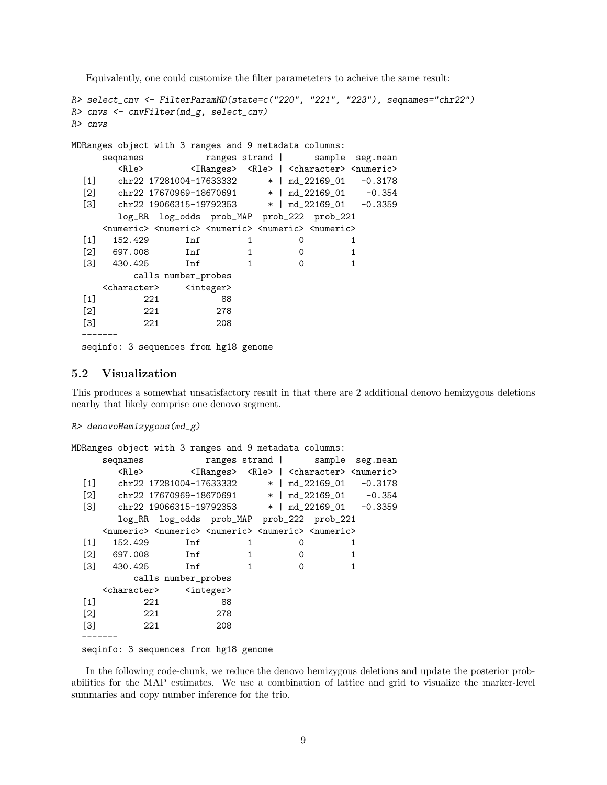Equivalently, one could customize the filter parameteters to acheive the same result:

```
R> select_cnv <- FilterParamMD(state=c("220", "221", "223"), seqnames="chr22")
R> cnvs <- cnvFilter(md_g, select_cnv)
R> cnvs
MDRanges object with 3 ranges and 9 metadata columns:
    seqnames ranges strand | sample seg.mean
       <Rle> <IRanges> <Rle> | <character> <numeric>
 [1] chr22 17281004-17633332 * | md_22169_01 -0.3178
 [2] chr22 17670969-18670691 * | md_22169_01 -0.354
 [3] chr22 19066315-19792353 * | md_22169_01 -0.3359
       log_RR log_odds prob_MAP prob_222 prob_221
    <numeric> <numeric> <numeric> <numeric> <numeric>
 [1] 152.429 Inf 1 0 1
 [2] 697.008 Inf 1 0 1
 [3] 430.425 Inf 1 0 1
         calls number_probes
    <character> <integer>
 [1] 221 88
 [2] 221 278
 [3] 221 208
 -------
 seqinfo: 3 sequences from hg18 genome
```
#### 5.2 Visualization

This produces a somewhat unsatisfactory result in that there are 2 additional denovo hemizygous deletions nearby that likely comprise one denovo segment.

```
R> denovoHemizygous(md_g)
```

```
MDRanges object with 3 ranges and 9 metadata columns:
    seqnames ranges strand | sample seg.mean
      <Rle> <IRanges> <Rle> | <character> <numeric>
 [1] chr22 17281004-17633332 * | md_22169_01 -0.3178
 [2] chr22 17670969-18670691 * | md_22169_01 -0.354
 [3] chr22 19066315-19792353 * | md_22169_01 -0.3359
      log_RR log_odds prob_MAP prob_222 prob_221
    <numeric> <numeric> <numeric> <numeric> <numeric>
 [1] 152.429 Inf 1 0 1
 [2] 697.008 Inf 1 0 1
 [3] 430.425 Inf 1 0 1
        calls number_probes
    <character> <integer>
 [1] 221 88
 [2] 221 278
 [3] 221 208
 -------
 seqinfo: 3 sequences from hg18 genome
```
In the following code-chunk, we reduce the denovo hemizygous deletions and update the posterior probabilities for the MAP estimates. We use a combination of lattice and grid to visualize the marker-level summaries and copy number inference for the trio.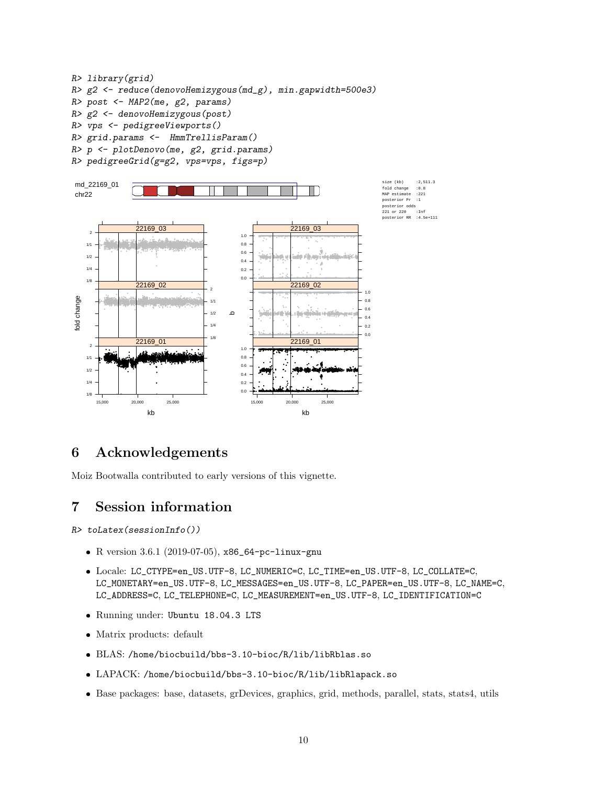```
R> library(grid)
R> g2 <- reduce(denovoHemizygous(md_g), min.gapwidth=500e3)
R> post <- MAP2(me, g2, params)
R > g2 \leftarrow denovollemizygous(post)R> vps <- pedigreeViewports()
R> grid.params <- HmmTrellisParam()
R> p <- plotDenovo(me, g2, grid.params)
R> pedigreeGrid(g=g2, vps=vps, figs=p)
```




#### Acknowledgements 6

Moiz Bootwalla contributed to early versions of this vignette.

#### $\overline{7}$ **Session information**

 $R$ > toLatex(sessionInfo())

- R version 3.6.1 (2019-07-05), x86\_64-pc-linux-gnu
- Locale: LC\_CTYPE=en\_US.UTF-8, LC\_NUMERIC=C, LC\_TIME=en\_US.UTF-8, LC\_COLLATE=C, LC\_MONETARY=en\_US.UTF-8, LC\_MESSAGES=en\_US.UTF-8, LC\_PAPER=en\_US.UTF-8, LC\_NAME=C, LC\_ADDRESS=C, LC\_TELEPHONE=C, LC\_MEASUREMENT=en\_US.UTF-8, LC\_IDENTIFICATION=C
- · Running under: Ubuntu 18.04.3 LTS
- $\bullet$  Matrix products: default
- BLAS: /home/biocbuild/bbs-3.10-bioc/R/lib/libRblas.so
- LAPACK: /home/biocbuild/bbs-3.10-bioc/R/lib/libRlapack.so
- Base packages: base, datasets, grDevices, graphics, grid, methods, parallel, stats, stats4, utils